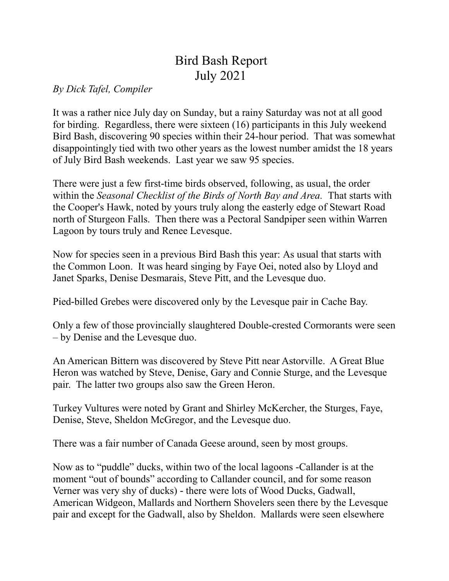## Bird Bash Report July 2021

*By Dick Tafel, Compiler*

It was a rather nice July day on Sunday, but a rainy Saturday was not at all good for birding. Regardless, there were sixteen (16) participants in this July weekend Bird Bash, discovering 90 species within their 24-hour period. That was somewhat disappointingly tied with two other years as the lowest number amidst the 18 years of July Bird Bash weekends. Last year we saw 95 species.

There were just a few first-time birds observed, following, as usual, the order within the *Seasonal Checklist of the Birds of North Bay and Area.* That starts with the Cooper's Hawk, noted by yours truly along the easterly edge of Stewart Road north of Sturgeon Falls. Then there was a Pectoral Sandpiper seen within Warren Lagoon by tours truly and Renee Levesque.

Now for species seen in a previous Bird Bash this year: As usual that starts with the Common Loon. It was heard singing by Faye Oei, noted also by Lloyd and Janet Sparks, Denise Desmarais, Steve Pitt, and the Levesque duo.

Pied-billed Grebes were discovered only by the Levesque pair in Cache Bay.

Only a few of those provincially slaughtered Double-crested Cormorants were seen – by Denise and the Levesque duo.

An American Bittern was discovered by Steve Pitt near Astorville. A Great Blue Heron was watched by Steve, Denise, Gary and Connie Sturge, and the Levesque pair. The latter two groups also saw the Green Heron.

Turkey Vultures were noted by Grant and Shirley McKercher, the Sturges, Faye, Denise, Steve, Sheldon McGregor, and the Levesque duo.

There was a fair number of Canada Geese around, seen by most groups.

Now as to "puddle" ducks, within two of the local lagoons -Callander is at the moment "out of bounds" according to Callander council, and for some reason Verner was very shy of ducks) - there were lots of Wood Ducks, Gadwall, American Widgeon, Mallards and Northern Shovelers seen there by the Levesque pair and except for the Gadwall, also by Sheldon. Mallards were seen elsewhere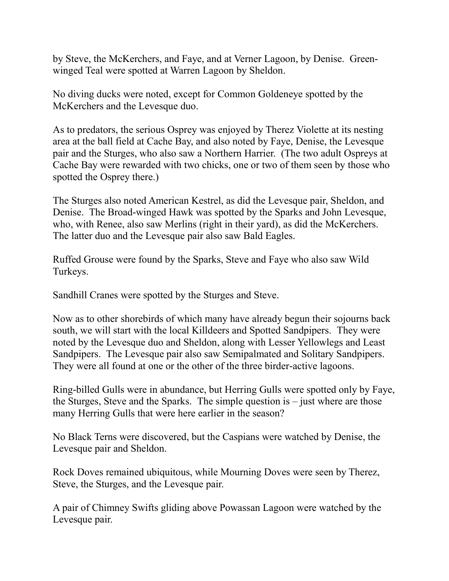by Steve, the McKerchers, and Faye, and at Verner Lagoon, by Denise. Greenwinged Teal were spotted at Warren Lagoon by Sheldon.

No diving ducks were noted, except for Common Goldeneye spotted by the McKerchers and the Levesque duo.

As to predators, the serious Osprey was enjoyed by Therez Violette at its nesting area at the ball field at Cache Bay, and also noted by Faye, Denise, the Levesque pair and the Sturges, who also saw a Northern Harrier. (The two adult Ospreys at Cache Bay were rewarded with two chicks, one or two of them seen by those who spotted the Osprey there.)

The Sturges also noted American Kestrel, as did the Levesque pair, Sheldon, and Denise. The Broad-winged Hawk was spotted by the Sparks and John Levesque, who, with Renee, also saw Merlins (right in their yard), as did the McKerchers. The latter duo and the Levesque pair also saw Bald Eagles.

Ruffed Grouse were found by the Sparks, Steve and Faye who also saw Wild Turkeys.

Sandhill Cranes were spotted by the Sturges and Steve.

Now as to other shorebirds of which many have already begun their sojourns back south, we will start with the local Killdeers and Spotted Sandpipers. They were noted by the Levesque duo and Sheldon, along with Lesser Yellowlegs and Least Sandpipers. The Levesque pair also saw Semipalmated and Solitary Sandpipers. They were all found at one or the other of the three birder-active lagoons.

Ring-billed Gulls were in abundance, but Herring Gulls were spotted only by Faye, the Sturges, Steve and the Sparks. The simple question is – just where are those many Herring Gulls that were here earlier in the season?

No Black Terns were discovered, but the Caspians were watched by Denise, the Levesque pair and Sheldon.

Rock Doves remained ubiquitous, while Mourning Doves were seen by Therez, Steve, the Sturges, and the Levesque pair.

A pair of Chimney Swifts gliding above Powassan Lagoon were watched by the Levesque pair.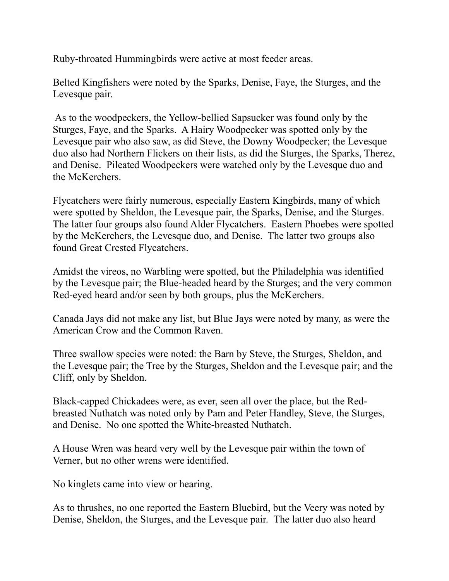Ruby-throated Hummingbirds were active at most feeder areas.

Belted Kingfishers were noted by the Sparks, Denise, Faye, the Sturges, and the Levesque pair.

As to the woodpeckers, the Yellow-bellied Sapsucker was found only by the Sturges, Faye, and the Sparks. A Hairy Woodpecker was spotted only by the Levesque pair who also saw, as did Steve, the Downy Woodpecker; the Levesque duo also had Northern Flickers on their lists, as did the Sturges, the Sparks, Therez, and Denise. Pileated Woodpeckers were watched only by the Levesque duo and the McKerchers.

Flycatchers were fairly numerous, especially Eastern Kingbirds, many of which were spotted by Sheldon, the Levesque pair, the Sparks, Denise, and the Sturges. The latter four groups also found Alder Flycatchers. Eastern Phoebes were spotted by the McKerchers, the Levesque duo, and Denise. The latter two groups also found Great Crested Flycatchers.

Amidst the vireos, no Warbling were spotted, but the Philadelphia was identified by the Levesque pair; the Blue-headed heard by the Sturges; and the very common Red-eyed heard and/or seen by both groups, plus the McKerchers.

Canada Jays did not make any list, but Blue Jays were noted by many, as were the American Crow and the Common Raven.

Three swallow species were noted: the Barn by Steve, the Sturges, Sheldon, and the Levesque pair; the Tree by the Sturges, Sheldon and the Levesque pair; and the Cliff, only by Sheldon.

Black-capped Chickadees were, as ever, seen all over the place, but the Redbreasted Nuthatch was noted only by Pam and Peter Handley, Steve, the Sturges, and Denise. No one spotted the White-breasted Nuthatch.

A House Wren was heard very well by the Levesque pair within the town of Verner, but no other wrens were identified.

No kinglets came into view or hearing.

As to thrushes, no one reported the Eastern Bluebird, but the Veery was noted by Denise, Sheldon, the Sturges, and the Levesque pair. The latter duo also heard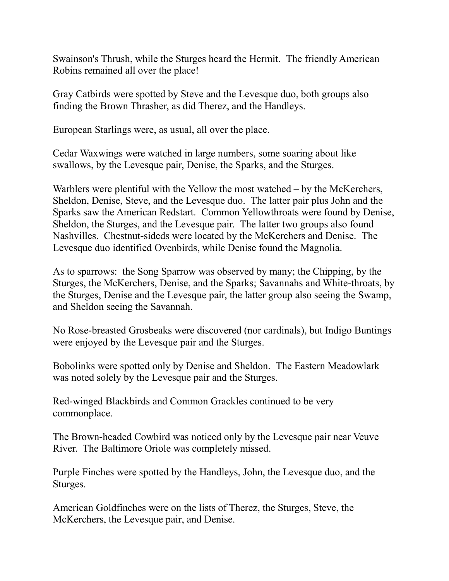Swainson's Thrush, while the Sturges heard the Hermit. The friendly American Robins remained all over the place!

Gray Catbirds were spotted by Steve and the Levesque duo, both groups also finding the Brown Thrasher, as did Therez, and the Handleys.

European Starlings were, as usual, all over the place.

Cedar Waxwings were watched in large numbers, some soaring about like swallows, by the Levesque pair, Denise, the Sparks, and the Sturges.

Warblers were plentiful with the Yellow the most watched – by the McKerchers, Sheldon, Denise, Steve, and the Levesque duo. The latter pair plus John and the Sparks saw the American Redstart. Common Yellowthroats were found by Denise, Sheldon, the Sturges, and the Levesque pair. The latter two groups also found Nashvilles. Chestnut-sideds were located by the McKerchers and Denise. The Levesque duo identified Ovenbirds, while Denise found the Magnolia.

As to sparrows: the Song Sparrow was observed by many; the Chipping, by the Sturges, the McKerchers, Denise, and the Sparks; Savannahs and White-throats, by the Sturges, Denise and the Levesque pair, the latter group also seeing the Swamp, and Sheldon seeing the Savannah.

No Rose-breasted Grosbeaks were discovered (nor cardinals), but Indigo Buntings were enjoyed by the Levesque pair and the Sturges.

Bobolinks were spotted only by Denise and Sheldon. The Eastern Meadowlark was noted solely by the Levesque pair and the Sturges.

Red-winged Blackbirds and Common Grackles continued to be very commonplace.

The Brown-headed Cowbird was noticed only by the Levesque pair near Veuve River. The Baltimore Oriole was completely missed.

Purple Finches were spotted by the Handleys, John, the Levesque duo, and the Sturges.

American Goldfinches were on the lists of Therez, the Sturges, Steve, the McKerchers, the Levesque pair, and Denise.